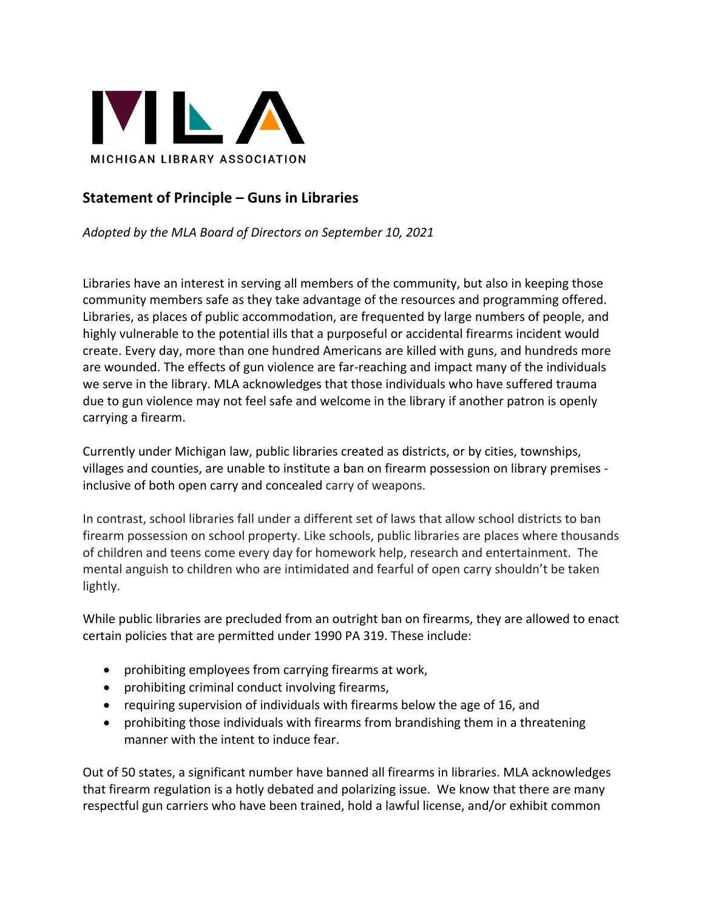

## **Statement of Principle – Guns in Libraries**

*Adopted by the MLA Board of Directors on September 10, 2021*

Libraries have an interest in serving all members of the community, but also in keeping those community members safe as they take advantage of the resources and programming offered. Libraries, as places of public accommodation, are frequented by large numbers of people, and highly vulnerable to the potential ills that a purposeful or accidental firearms incident would create. Every day, more than one hundred Americans are killed with guns, and hundreds more are wounded. The effects of gun violence are far-reaching and impact many of the individuals we serve in the library. MLA acknowledges that those individuals who have suffered trauma due to gun violence may not feel safe and welcome in the library if another patron is openly carrying a firearm.

Currently under Michigan law, public libraries created as districts, or by cities, townships, villages and counties, are unable to institute a ban on firearm possession on library premises inclusive of both open carry and concealed carry of weapons.

In contrast, school libraries fall under a different set of laws that allow school districts to ban firearm possession on school property. Like schools, public libraries are places where thousands of children and teens come every day for homework help, research and entertainment. The mental anguish to children who are intimidated and fearful of open carry shouldn't be taken lightly.

While public libraries are precluded from an outright ban on firearms, they are allowed to enact certain policies that are permitted under 1990 PA 319. These include:

- prohibiting employees from carrying firearms at work,
- prohibiting criminal conduct involving firearms,
- requiring supervision of individuals with firearms below the age of 16, and
- prohibiting those individuals with firearms from brandishing them in a threatening manner with the intent to induce fear.

Out of 50 states, a significant number have banned all firearms in libraries. MLA acknowledges that firearm regulation is a hotly debated and polarizing issue. We know that there are many respectful gun carriers who have been trained, hold a lawful license, and/or exhibit common